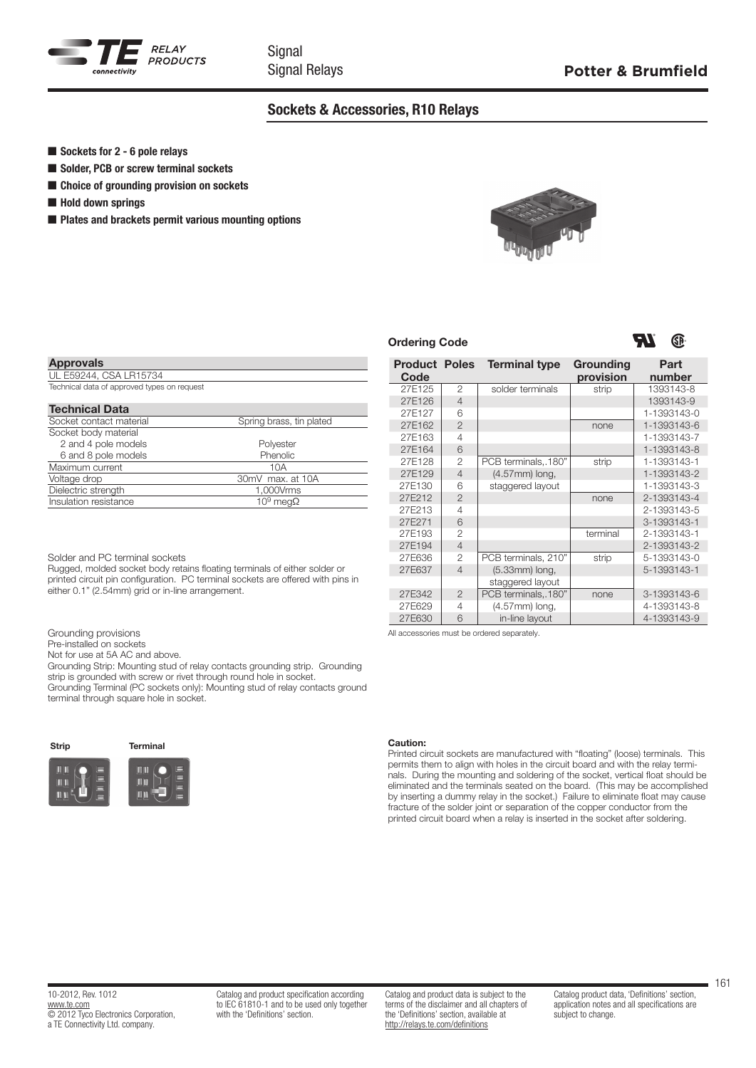

Signal Signal Relays

# Sockets & Accessories, R10 Relays

- $\blacksquare$  Sockets for 2 6 pole relays
- Solder, PCB or screw terminal sockets
- Choice of grounding provision on sockets
- $\blacksquare$  Hold down springs

Approvals

 $\blacksquare$  Plates and brackets permit various mounting options



**Terminal type Grounding** 

 $\frac{1}{2}$   $\frac{1}{2}$   $\frac{1}{2}$   $\frac{1}{3931435}$ 

27E271 6 3-1393143-1 27E193 2<br>27E194 4 terminal 2-1393143-1<br>2-1393143-2

27E636 2 PCB terminals, 210" strip 5-1393143-0 27E637 4 (5.33mm) long, 3-1393143-1

27E342 2 PCB terminals, 180" none 3-1393143-6<br>27E629 4 (4.57mm) long. 4-1393143-8

27E630 6 in-line layout 4-1393143-9

staggered layout

 $27E629$  4 (4.57mm) long,

All accessories must be ordered separately.

27E125 2 solder terminals strip 1393143-8 27E126 4 1393143-9 27E127 6 6 1-1393143-0 27E162 2 2 none 1-1393143-6 27E163 4 27E163 4 1-1393143-7 27E164 6 **1-1393143-8** 27E128 | 2 | PCB terminals, 180" | strip | 1-1393143-1 27E129 4 (4.57mm) long, 1-1393143-2 27E130 6 staggered layout | 1-1393143-3 27E212 2 none 2-1393143-4<br>27E213 4 2-1393143-5

provision

## Ordering Code

**Product Poles** Code



Part number

2-1393143-2

| <b>Approvals</b>                            |                          |
|---------------------------------------------|--------------------------|
| UL E59244, CSA LR15734                      |                          |
| Technical data of approved types on request |                          |
|                                             |                          |
| <b>Technical Data</b>                       |                          |
| Socket contact material                     | Spring brass, tin plated |
| Socket body material                        |                          |
| 2 and 4 pole models                         | Polyester                |
| 6 and 8 pole models                         | Phenolic                 |
| Maximum current                             | 10A                      |
| Voltage drop                                | 30mV max. at 10A         |
| Dielectric strength                         | 1,000Vrms                |
| Insulation resistance                       | 10 <sup>9</sup> meqΩ     |

Solder and PC terminal sockets

Rugged, molded socket body retains floating terminals of either solder or printed circuit pin configuration. PC terminal sockets are offered with pins in either 0.1" (2.54mm) grid or in-line arrangement.

| Grounding provisions |                          |
|----------------------|--------------------------|
|                      | Dro inetalled en seckets |

Pre-installed on Not for use at 5A AC and above.

Grounding Strip: Mounting stud of relay contacts grounding strip. Grounding

strip is grounded with screw or rivet through round hole in socket.

Grounding Terminal (PC sockets only): Mounting stud of relay contacts ground terminal through square hole in socket.

# Strip Terminal mu m

#### Caution:

Printed circuit sockets are manufactured with "floating" (loose) terminals. This permits them to align with holes in the circuit board and with the relay terminals. During the mounting and soldering of the socket, vertical float should be eliminated and the terminals seated on the board. (This may be accomplished by inserting a dummy relay in the socket.) Failure to eliminate float may cause fracture of the solder joint or separation of the copper conductor from the printed circuit board when a relay is inserted in the socket after soldering.

Catalog and product specification according to IEC 61810-1 and to be used only together with the 'Definitions' section.

Catalog and product data is subject to the terms of the disclaimer and all chapters of the 'Definitions' section, available at <http://relays.te.com/definitions>

161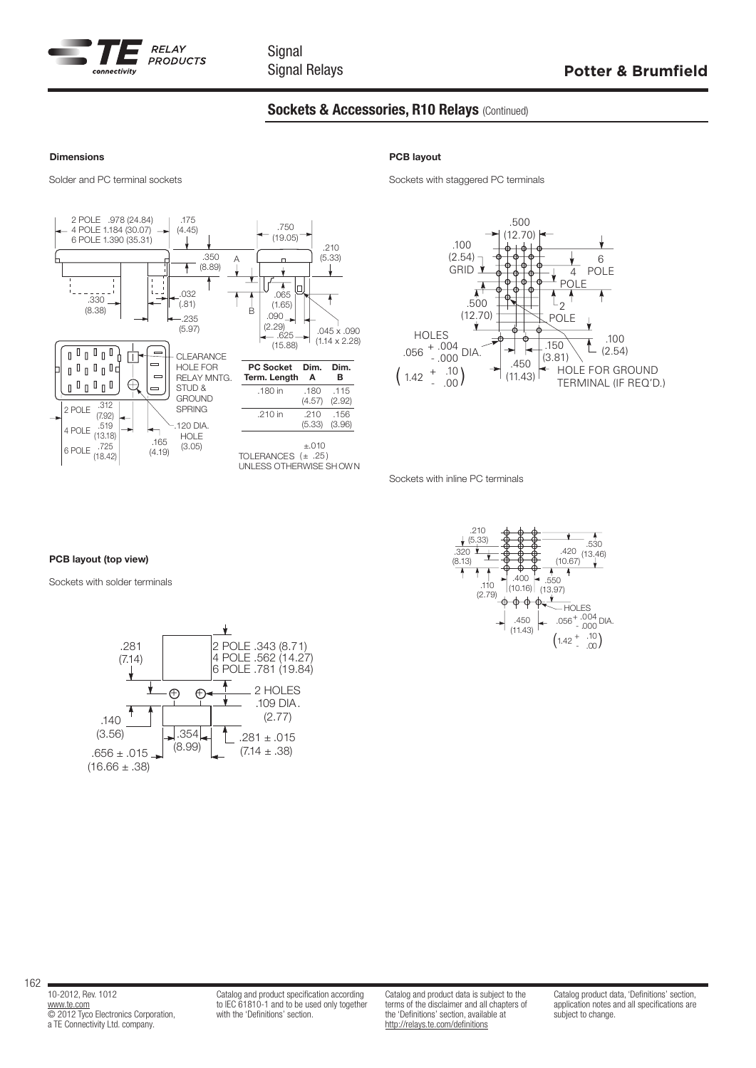

# Sockets & Accessories, R10 Relays (Continued)

#### Dimensions



## PCB layout

Solder and PC terminal sockets Sockets Sockets with staggered PC terminals



Sockets with inline PC terminals

### PCB layout (top view)

Sockets with solder terminals





162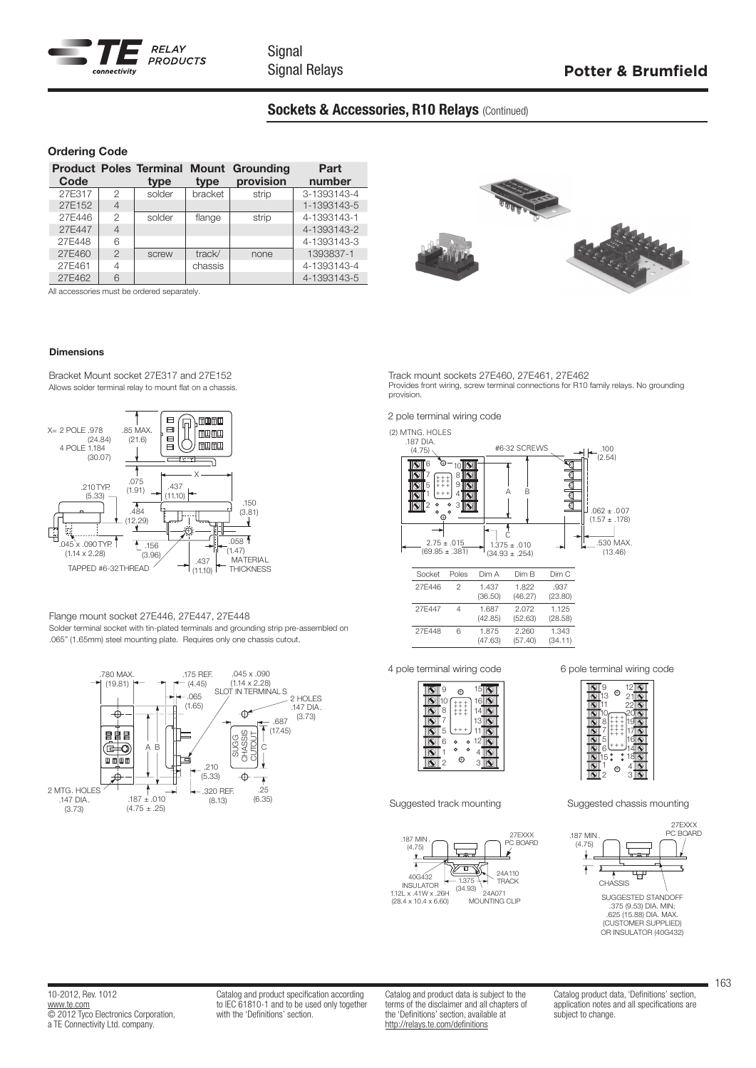

# Sockets & Accessories, R10 Relays (Continued)

## Ordering Code

| Code   |                | type   | type    | <b>Product Poles Terminal Mount Grounding</b><br>provision | Part<br>number |
|--------|----------------|--------|---------|------------------------------------------------------------|----------------|
| 27E317 | $\mathcal{P}$  | solder | bracket | strip                                                      | 3-1393143-4    |
| 27E152 | $\overline{4}$ |        |         |                                                            | 1-1393143-5    |
| 27E446 | $\mathfrak{D}$ | solder | flange  | strip                                                      | 4-1393143-1    |
| 27E447 | $\overline{4}$ |        |         |                                                            | 4-1393143-2    |
| 27E448 | 6              |        |         |                                                            | 4-1393143-3    |
| 27E460 | $\overline{2}$ | screw  | track/  | none                                                       | 1393837-1      |
| 27E461 | 4              |        | chassis |                                                            | 4-1393143-4    |
| 27E462 | 6              |        |         |                                                            | 4-1393143-5    |

All accessories must be ordered separately.

## Dimensions

Bracket Mount socket 27E317 and 27E152 Allows solder terminal relay to mount flat on a chassis.



#### Flange mount socket 27E446, 27E447, 27E448 Solder terminal socket with tin-plated terminals and grounding strip pre-assembled on .065" (1.65mm) steel mounting plate. Requires only one chassis cutout.





Track mount sockets 27E460, 27E461, 27E462 Provides front wiring, screw terminal connections for R10 family relays. No grounding provision.

2 pole terminal wiring code

(2) MTNG. HOLES



| Socket | Poles | Dim A            | Dim B            | Dim C            |
|--------|-------|------------------|------------------|------------------|
| 27F446 | 2     | 1.437<br>(36.50) | 1.822<br>(46.27) | .937<br>(23.80)  |
| 27F447 |       | 1.687<br>(42.85) | 2.072<br>(52.63) | 1.125<br>(28.58) |
| 27F448 | 6     | 1.875<br>(47.63) | 2.260<br>(57.40) | 1.343<br>(34.11) |

4 pole terminal wiring code 6 pole terminal wiring code







Suggested track mounting Suggested chassis mounting



10-2012, Rev. 1012 [www.te.com](http://www.te.com) © 2012 Tyco Electronics Corporation, a TE Connectivity Ltd. company.

Catalog and product specification according to IEC 61810-1 and to be used only together with the 'Definitions' section.

Catalog and product data is subject to the terms of the disclaimer and all chapters of the 'Definitions' section, available at <http://relays.te.com/definitions>

Catalog product data, 'Definitions' section, application notes and all specifications are subject to change.

163